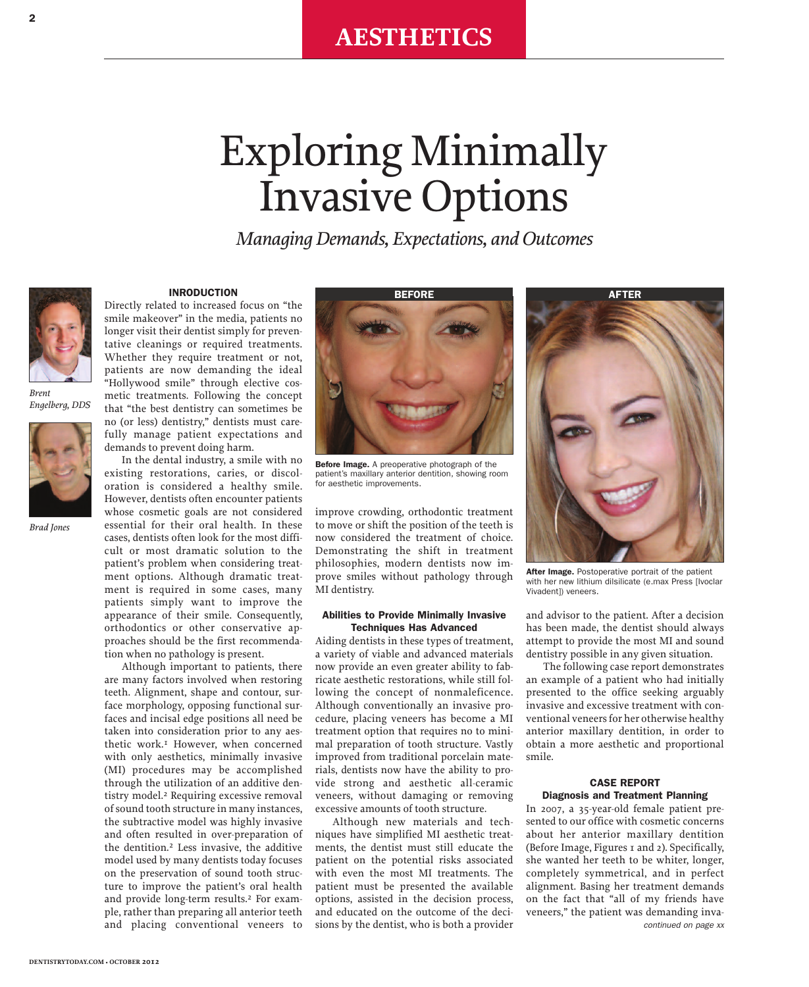# Exploring Minimally Invasive Options

*Managing Demands, Expectations, and Outcomes*



*Brent Engelberg, DDS*



*Brad Jones*

## **INRODUCTION**

Directly related to increased focus on "the smile makeover" in the media, patients no longer visit their dentist simply for preventative cleanings or required treatments. Whether they require treatment or not, patients are now demanding the ideal "Hollywood smile" through elective cosmetic treatments. Following the concept that "the best dentistry can sometimes be no (or less) dentistry," dentists must carefully manage patient expectations and demands to prevent doing harm.

In the dental industry, a smile with no existing restorations, caries, or discoloration is considered a healthy smile. However, dentists often encounter patients whose cosmetic goals are not considered essential for their oral health. In these cases, dentists often look for the most difficult or most dramatic solution to the patient's problem when considering treatment options. Although dramatic treatment is required in some cases, many patients simply want to improve the appearance of their smile. Consequently, orthodontics or other conservative approaches should be the first recommendation when no pathology is present.

Although important to patients, there are many factors involved when restoring teeth. Alignment, shape and contour, surface morphology, opposing functional surfaces and incisal edge positions all need be taken into consideration prior to any aesthetic work. 1 However, when concerned with only aesthetics, minimally invasive (MI) procedures may be accomplished through the utilization of an additive dentistry model. 2 Requiring excessive removal of sound tooth structure in many instances, the subtractive model was highly invasive and often resulted in over-preparation of the dentition. 2 Less invasive, the additive model used by many dentists today focuses on the preservation of sound tooth structure to improve the patient's oral health and provide long-term results. 2 For example, rather than preparing all anterior teeth and placing conventional veneers to



**Before Image.** A preoperative photograph of the patient's maxillary anterior dentition, showing room for aesthetic improvements.

improve crowding, orthodontic treatment to move or shift the position of the teeth is now considered the treatment of choice. Demonstrating the shift in treatment philosophies, modern dentists now improve smiles without pathology through MI dentistry.

#### **Abilities to Provide Minimally Invasive Techniques Has Advanced**

Aiding dentists in these types of treatment, a variety of viable and advanced materials now provide an even greater ability to fabricate aesthetic restorations, while still following the concept of nonmaleficence. Although conventionally an invasive procedure, placing veneers has become a MI treatment option that requires no to minimal preparation of tooth structure. Vastly improved from traditional porcelain materials, dentists now have the ability to provide strong and aesthetic all-ceramic veneers, without damaging or removing excessive amounts of tooth structure.

Although new materials and techniques have simplified MI aesthetic treatments, the dentist must still educate the patient on the potential risks associated with even the most MI treatments. The patient must be presented the available options, assisted in the decision process, and educated on the outcome of the decisions by the dentist, who is both a provider



**After Image.** Postoperative portrait of the patient with her new lithium dilsilicate (e.max Press [Ivoclar Vivadent]) veneers.

and advisor to the patient. After a decision has been made, the dentist should always attempt to provide the most MI and sound dentistry possible in any given situation.

The following case report demonstrates an example of a patient who had initially presented to the office seeking arguably invasive and excessive treatment with conventional veneersfor her otherwise healthy anterior maxillary dentition, in order to obtain a more aesthetic and proportional smile.

# **CASE REPORT Diagnosis and Treatment Planning**

In 2007, a 35-year-old female patient presented to our office with cosmetic concerns about her anterior maxillary dentition (Before Image, Figures 1 and 2). Specifically, she wanted her teeth to be whiter, longer, completely symmetrical, and in perfect alignment. Basing her treatment demands on the fact that "all of my friends have veneers," the patient was demanding inva*continued on page xx*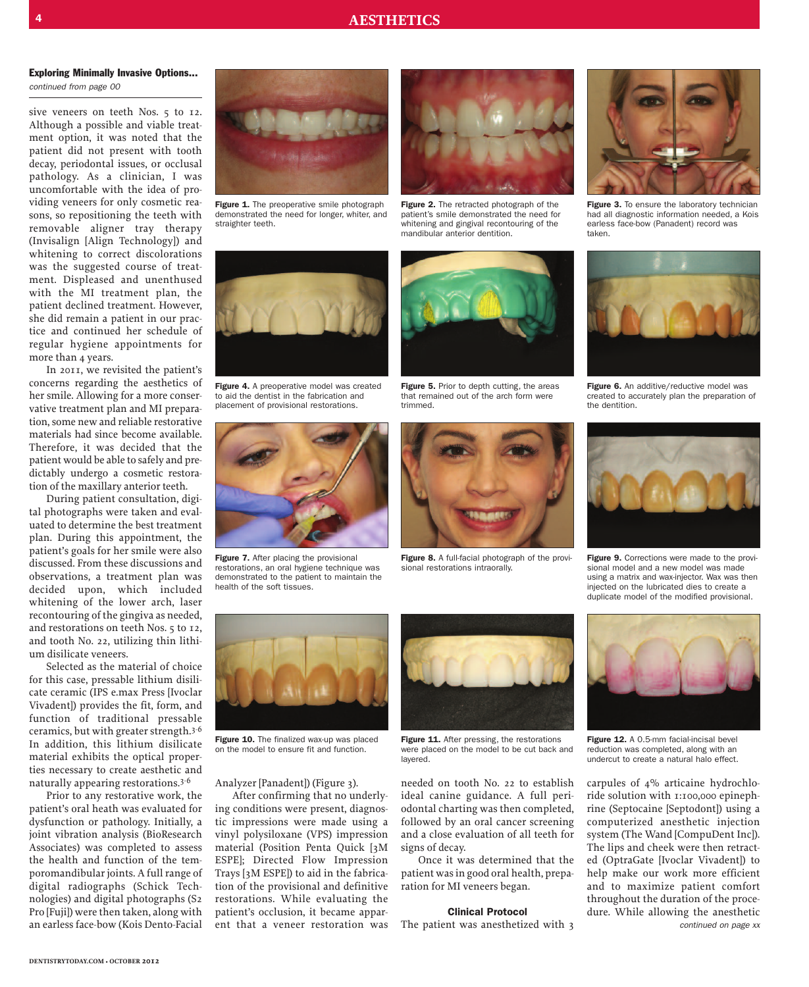sive veneers on teeth Nos. 5 to 12. Although a possible and viable treatment option, it was noted that the patient did not present with tooth decay, periodontal issues, or occlusal pathology. As a clinician, I was uncomfortable with the idea of providing veneers for only cosmetic reasons, so repositioning the teeth with removable aligner tray therapy (Invisalign [Align Technology]) and whitening to correct discolorations was the suggested course of treatment. Displeased and unenthused with the MI treatment plan, the patient declined treatment. However, she did remain a patient in our practice and continued her schedule of regular hygiene appointments for more than 4 years.

In 2011, we revisited the patient's concerns regarding the aesthetics of her smile. Allowing for a more conservative treatment plan and MI preparation,some new and reliable restorative materials had since become available. Therefore, it was decided that the patient would be able to safely and predictably undergo a cosmetic restoration of the maxillary anterior teeth.

During patient consultation, digital photographs were taken and evaluated to determine the best treatment plan. During this appointment, the patient's goals for her smile were also discussed. From these discussions and observations, a treatment plan was decided upon, which included whitening of the lower arch, laser recontouring of the gingiva as needed, and restorations on teeth Nos. 5 to 12, and tooth No. 22, utilizing thin lithium disilicate veneers.

Selected as the material of choice for this case, pressable lithium disilicate ceramic (IPS e.max Press [Ivoclar Vivadent]) provides the fit, form, and function of traditional pressable ceramics, but with greater strength.<sup>3-6</sup> In addition, this lithium disilicate material exhibits the optical properties necessary to create aesthetic and  $natural$  appearing restorations.<sup>3-6</sup>

Prior to any restorative work, the patient's oral heath was evaluated for dysfunction or pathology. Initially, a joint vibration analysis (BioResearch Associates) was completed to assess the health and function of the temporomandibular joints. A full range of digital radiographs (Schick Technologies) and digital photographs (S2 Pro [Fuji]) were then taken, along with an earless face-bow (Kois Dento-Facial



**Figure 1.** The preoperative smile photograph demonstrated the need for longer, whiter, and straighter teeth.



**Figure 2.** The retracted photograph of the patient's smile demonstrated the need for whitening and gingival recontouring of the mandibular anterior dentition.



**Figure 3.** To ensure the laboratory technician had all diagnostic information needed, a Kois earless face-bow (Panadent) record was taken.



**Figure 4.** A preoperative model was created to aid the dentist in the fabrication and placement of provisional restorations.



**Figure 7.** After placing the provisional restorations, an oral hygiene technique was demonstrated to the patient to maintain the health of the soft tissues.



**Figure 5.** Prior to depth cutting, the areas that remained out of the arch form were trimmed.



**Figure 8.** A full-facial photograph of the provisional restorations intraorally.



**Figure 6.** An additive/reductive model was created to accurately plan the preparation of the dentition.



**Figure 9.** Corrections were made to the provisional model and a new model was made using a matrix and wax-injector. Wax was then injected on the lubricated dies to create a duplicate model of the modified provisional.



**Figure 10.** The finalized wax-up was placed on the model to ensure fit and function.

Analyzer [Panadent]) (Figure 3).

After confirming that no underlying conditions were present, diagnostic impressions were made using a vinyl polysiloxane (VPS) impression material (Position Penta Quick [3M ESPE]; Directed Flow Impression Trays [3M ESPE]) to aid in the fabrication of the provisional and definitive restorations. While evaluating the patient's occlusion, it became apparent that a veneer restoration was



**Figure 11.** After pressing, the restorations were placed on the model to be cut back and layered.

needed on tooth No. 22 to establish ideal canine guidance. A full periodontal charting was then completed, followed by an oral cancer screening and a close evaluation of all teeth for signs of decay.

Once it was determined that the patient wasin good oral health, preparation for MI veneers began.

#### **Clinical Protocol**

The patient was anesthetized with 3



**Figure 12.** A 0.5-mm facial-incisal bevel reduction was completed, along with an undercut to create a natural halo effect.

carpules of 4% articaine hydrochloride solution with 1:100,000 epinephrine (Septocaine [Septodont]) using a computerized anesthetic injection system (The Wand [CompuDent Inc]). The lips and cheek were then retracted (OptraGate [Ivoclar Vivadent]) to help make our work more efficient and to maximize patient comfort throughout the duration of the procedure. While allowing the anesthetic *continued on page xx*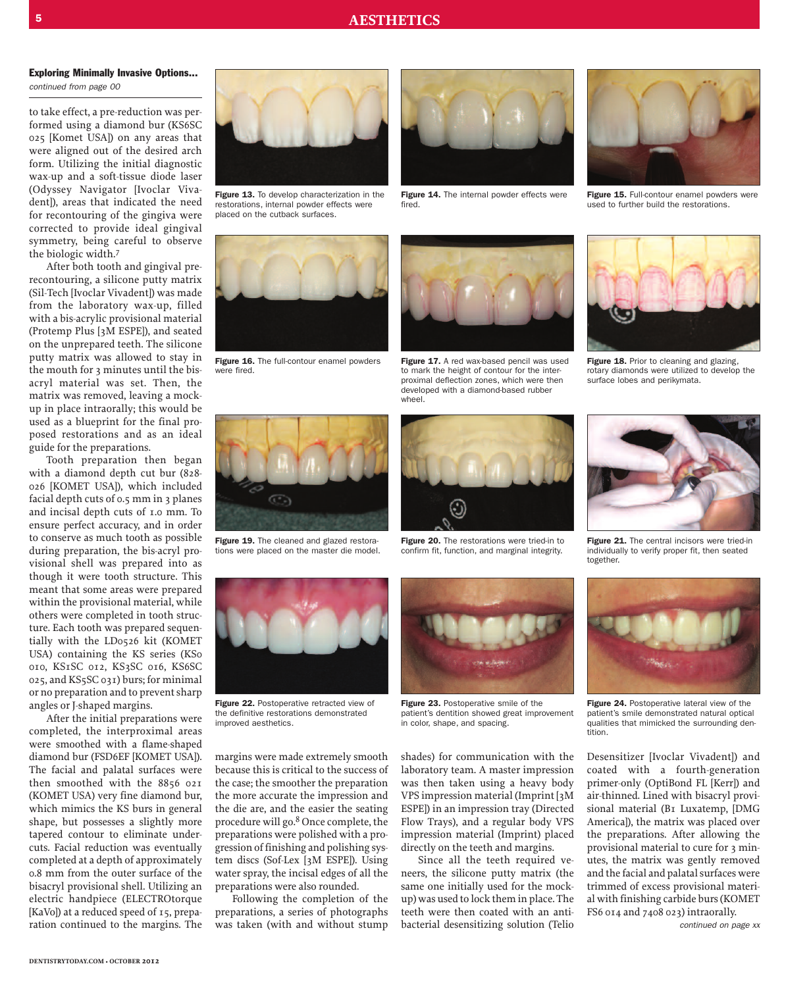to take effect, a pre-reduction was performed using a diamond bur (KS6SC 025 [Komet USA]) on any areas that were aligned out of the desired arch form. Utilizing the initial diagnostic wax-up and a soft-tissue diode laser (Odyssey Navigator [Ivoclar Vivadent]), areas that indicated the need for recontouring of the gingiva were corrected to provide ideal gingival symmetry, being careful to observe the biologic width. 7

After both tooth and gingival prerecontouring, a silicone putty matrix (Sil-Tech [Ivoclar Vivadent]) was made from the laboratory wax-up, filled with a bis-acrylic provisional material (Protemp Plus [3M ESPE]), and seated on the unprepared teeth. The silicone putty matrix was allowed to stay in the mouth for 3 minutes until the bisacryl material was set. Then, the matrix was removed, leaving a mockup in place intraorally; this would be used as a blueprint for the final proposed restorations and as an ideal guide for the preparations.

Tooth preparation then began with a diamond depth cut bur (828- 026 [KOMET USA]), which included facial depth cuts of 0.5 mm in 3 planes and incisal depth cuts of 1.0 mm. To ensure perfect accuracy, and in order to conserve as much tooth as possible during preparation, the bis-acryl provisional shell was prepared into as though it were tooth structure. This meant that some areas were prepared within the provisional material, while others were completed in tooth structure. Each tooth was prepared sequentially with the LD0526 kit (KOMET USA) containing the KS series (KSo 010, KS1SC 012, KS3SC 016, KS6SC 025, and KS5SC 031) burs; for minimal or no preparation and to preventsharp angles or J-shaped margins.

After the initial preparations were completed, the interproximal areas were smoothed with a flame-shaped diamond bur (FSD6EF [KOMET USA]). The facial and palatal surfaces were then smoothed with the 8856 021 (KOMET USA) very fine diamond bur, which mimics the KS burs in general shape, but possesses a slightly more tapered contour to eliminate undercuts. Facial reduction was eventually completed at a depth of approximately 0.8 mm from the outer surface of the bisacryl provisional shell. Utilizing an electric handpiece (ELECTROtorque [KaVo]) at a reduced speed of 15, preparation continued to the margins. The



**Figure 13.** To develop characterization in the restorations, internal powder effects were placed on the cutback surfaces.



**Figure 16.** The full-contour enamel powders were fired.



**Figure 14.** The internal powder effects were fired.



**Figure 17.** A red wax-based pencil was used to mark the height of contour for the interproximal deflection zones, which were then developed with a diamond-based rubber wheel



**Figure 20.** The restorations were tried-in to confirm fit, function, and marginal integrity.



**Figure 15.** Full-contour enamel powders were used to further build the restorations.



**Figure 18.** Prior to cleaning and glazing, rotary diamonds were utilized to develop the surface lobes and perikymata.



**Figure 21.** The central incisors were tried-in individually to verify proper fit, then seated together.



**Figure 24.** Postoperative lateral view of the patient's smile demonstrated natural optical qualities that mimicked the surrounding dentition.

Desensitizer [Ivoclar Vivadent]) and coated with a fourth-generation primer-only (OptiBond FL [Kerr]) and air-thinned. Lined with bisacryl provisional material (B1 Luxatemp, [DMG America]), the matrix was placed over the preparations. After allowing the provisional material to cure for 3 minutes, the matrix was gently removed and the facial and palatal surfaces were trimmed of excess provisional material with finishing carbide burs(KOMET FS6 014 and 7408 023) intraorally.

*continued on page xx*





**Figure 22.** Postoperative retracted view of the definitive restorations demonstrated improved aesthetics.

margins were made extremely smooth because this is critical to the success of the case; the smoother the preparation the more accurate the impression and the die are, and the easier the seating procedure will go. 8 Once complete, the preparations were polished with a progression of finishing and polishing system discs (Sof-Lex [3M ESPE]). Using water spray, the incisal edges of all the preparations were also rounded.

Following the completion of the preparations, a series of photographs was taken (with and without stump



**Figure 23.** Postoperative smile of the patient's dentition showed great improvement in color, shape, and spacing.

shades) for communication with the laboratory team. A master impression was then taken using a heavy body VPS impression material (Imprint [3M ESPE]) in an impression tray (Directed Flow Trays), and a regular body VPS impression material (Imprint) placed directly on the teeth and margins.

Since all the teeth required veneers, the silicone putty matrix (the same one initially used for the mockup) was used to lock them in place. The teeth were then coated with an antibacterial desensitizing solution (Telio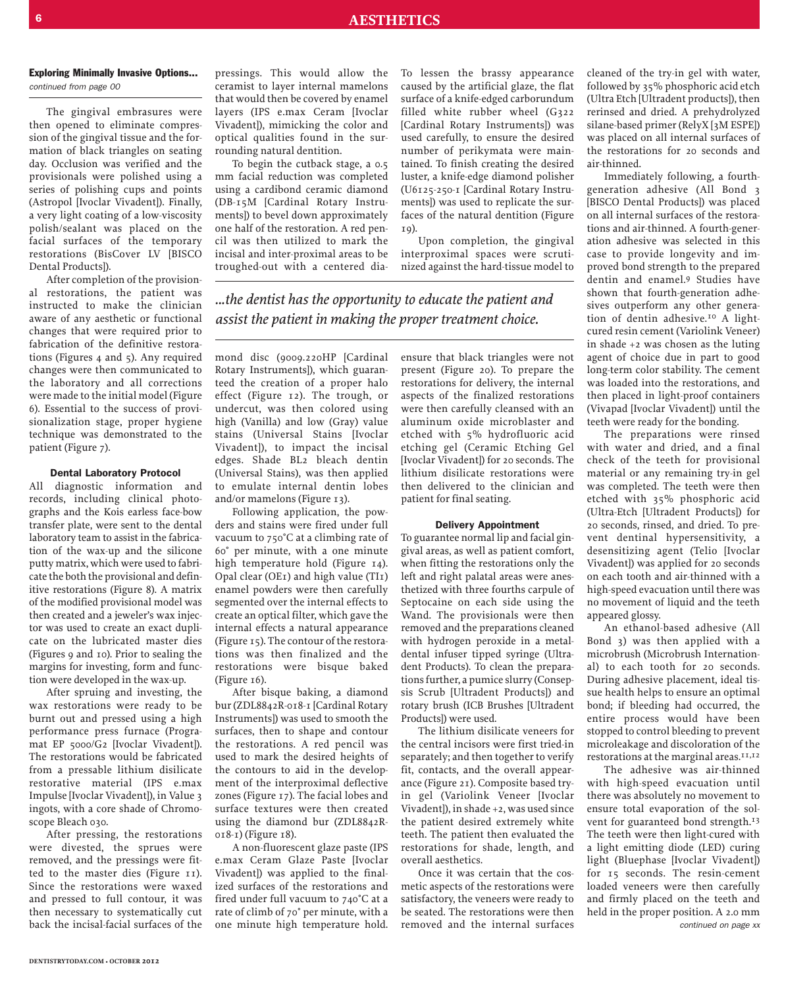The gingival embrasures were then opened to eliminate compression of the gingival tissue and the formation of black triangles on seating day. Occlusion was verified and the provisionals were polished using a series of polishing cups and points (Astropol [Ivoclar Vivadent]). Finally, a very light coating of a low-viscosity polish/sealant was placed on the facial surfaces of the temporary restorations (BisCover LV [BISCO Dental Products]).

After completion of the provisional restorations, the patient was instructed to make the clinician aware of any aesthetic or functional changes that were required prior to fabrication of the definitive restorations (Figures 4 and 5). Any required changes were then communicated to the laboratory and all corrections were made to the initial model (Figure 6). Essential to the success of provisionalization stage, proper hygiene technique was demonstrated to the patient (Figure 7).

#### **Dental Laboratory Protocol**

All diagnostic information and records, including clinical photographs and the Kois earless face-bow transfer plate, were sent to the dental laboratory team to assist in the fabrication of the wax-up and the silicone putty matrix, which were used to fabricate the both the provisional and definitive restorations (Figure 8). A matrix of the modified provisional model was then created and a jeweler's wax injector was used to create an exact duplicate on the lubricated master dies (Figures 9 and 10). Prior to sealing the margins for investing, form and function were developed in the wax-up.

After spruing and investing, the wax restorations were ready to be burnt out and pressed using a high performance press furnace (Programat EP 5000/G2 [Ivoclar Vivadent]). The restorations would be fabricated from a pressable lithium disilicate restorative material (IPS e.max Impulse [Ivoclar Vivadent]), in Value 3 ingots, with a core shade of Chromoscope Bleach 030.

After pressing, the restorations were divested, the sprues were removed, and the pressings were fitted to the master dies (Figure 11). Since the restorations were waxed and pressed to full contour, it was then necessary to systematically cut back the incisal-facial surfaces of the

pressings. This would allow the ceramist to layer internal mamelons that would then be covered by enamel layers (IPS e.max Ceram [Ivoclar Vivadent]), mimicking the color and optical qualities found in the surrounding natural dentition.

To begin the cutback stage, a 0.5 mm facial reduction was completed using a cardibond ceramic diamond (DB-15M [Cardinal Rotary Instruments]) to bevel down approximately one half of the restoration. A red pencil was then utilized to mark the incisal and inter-proximal areas to be troughed-out with a centered diaTo lessen the brassy appearance caused by the artificial glaze, the flat surface of a knife-edged carborundum filled white rubber wheel (G322 [Cardinal Rotary Instruments]) was used carefully, to ensure the desired number of perikymata were maintained. To finish creating the desired luster, a knife-edge diamond polisher (U6125-250-1 [Cardinal Rotary Instruments]) was used to replicate the surfaces of the natural dentition (Figure  $T<sub>0</sub>$ 

Upon completion, the gingival interproximal spaces were scrutinized against the hard-tissue model to

*...the dentist has the opportunity to educate the patient and assist the patient in making the proper treatment choice.*

mond disc (9009.220HP [Cardinal Rotary Instruments]), which guaranteed the creation of a proper halo effect (Figure 12). The trough, or undercut, was then colored using high (Vanilla) and low (Gray) value stains (Universal Stains [Ivoclar Vivadent]), to impact the incisal edges. Shade BL2 bleach dentin (Universal Stains), was then applied to emulate internal dentin lobes and/or mamelons (Figure 13).

Following application, the powders and stains were fired under full vacuum to 750°C at a climbing rate of 60° per minute, with a one minute high temperature hold (Figure 14). Opal clear (OE1) and high value (TI1) enamel powders were then carefully segmented over the internal effects to create an optical filter, which gave the internal effects a natural appearance (Figure  $15$ ). The contour of the restorations was then finalized and the restorations were bisque baked (Figure 16).

After bisque baking, a diamond bur(ZDL8842R-018-1 [Cardinal Rotary Instruments]) was used to smooth the surfaces, then to shape and contour the restorations. A red pencil was used to mark the desired heights of the contours to aid in the development of the interproximal deflective zones (Figure 17). The facial lobes and surface textures were then created using the diamond bur (ZDL8842R-018-1) (Figure 18).

A non-fluorescent glaze paste (IPS e.max Ceram Glaze Paste [Ivoclar Vivadent]) was applied to the finalized surfaces of the restorations and fired under full vacuum to 740°C at a rate of climb of 70° per minute, with a one minute high temperature hold.

ensure that black triangles were not present (Figure 20). To prepare the restorations for delivery, the internal aspects of the finalized restorations were then carefully cleansed with an aluminum oxide microblaster and etched with 5% hydrofluoric acid etching gel (Ceramic Etching Gel [Ivoclar Vivadent]) for 20 seconds. The lithium disilicate restorations were then delivered to the clinician and patient for final seating.

#### **Delivery Appointment**

To guarantee normal lip and facial gingival areas, as well as patient comfort, when fitting the restorations only the left and right palatal areas were anesthetized with three fourths carpule of Septocaine on each side using the Wand. The provisionals were then removed and the preparations cleaned with hydrogen peroxide in a metaldental infuser tipped syringe (Ultradent Products). To clean the preparationsfurther, a pumice slurry (Consepsis Scrub [Ultradent Products]) and rotary brush (ICB Brushes [Ultradent Products]) were used.

The lithium disilicate veneers for the central incisors were first tried-in separately; and then together to verify fit, contacts, and the overall appearance (Figure 21). Composite based tryin gel (Variolink Veneer [Ivoclar Vivadent]), in shade +2, was used since the patient desired extremely white teeth. The patient then evaluated the restorations for shade, length, and overall aesthetics.

Once it was certain that the cosmetic aspects of the restorations were satisfactory, the veneers were ready to be seated. The restorations were then removed and the internal surfaces

cleaned of the try-in gel with water, followed by 35% phosphoric acid etch (Ultra Etch [Ultradent products]), then rerinsed and dried. A prehydrolyzed silane-based primer ( $RelyX$  [3M ESPE]) was placed on all internal surfaces of the restorations for 20 seconds and air-thinned.

Immediately following, a fourthgeneration adhesive (All Bond 3 [BISCO Dental Products]) was placed on all internal surfaces of the restorations and air-thinned. A fourth-generation adhesive was selected in this case to provide longevity and improved bond strength to the prepared dentin and enamel. 9 Studies have shown that fourth-generation adhesives outperform any other generation of dentin adhesive. 10 A lightcured resin cement (Variolink Veneer) in shade +2 was chosen as the luting agent of choice due in part to good long-term color stability. The cement was loaded into the restorations, and then placed in light-proof containers (Vivapad [Ivoclar Vivadent]) until the teeth were ready for the bonding.

The preparations were rinsed with water and dried, and a final check of the teeth for provisional material or any remaining try-in gel was completed. The teeth were then etched with 35% phosphoric acid (Ultra-Etch [Ultradent Products]) for 20 seconds, rinsed, and dried. To prevent dentinal hypersensitivity, a desensitizing agent (Telio [Ivoclar Vivadent]) was applied for 20 seconds on each tooth and air-thinned with a high-speed evacuation until there was no movement of liquid and the teeth appeared glossy.

An ethanol-based adhesive (All Bond 3) was then applied with a microbrush (Microbrush International) to each tooth for 20 seconds. During adhesive placement, ideal tissue health helps to ensure an optimal bond; if bleeding had occurred, the entire process would have been stopped to control bleeding to prevent microleakage and discoloration of the restorations at the marginal areas.<sup>11,12</sup>

The adhesive was air-thinned with high-speed evacuation until there was absolutely no movement to ensure total evaporation of the solvent for guaranteed bond strength.<sup>13</sup> The teeth were then light-cured with a light emitting diode (LED) curing light (Bluephase [Ivoclar Vivadent]) for 15 seconds. The resin-cement loaded veneers were then carefully and firmly placed on the teeth and held in the proper position. A 2.0 mm *continued on page xx*